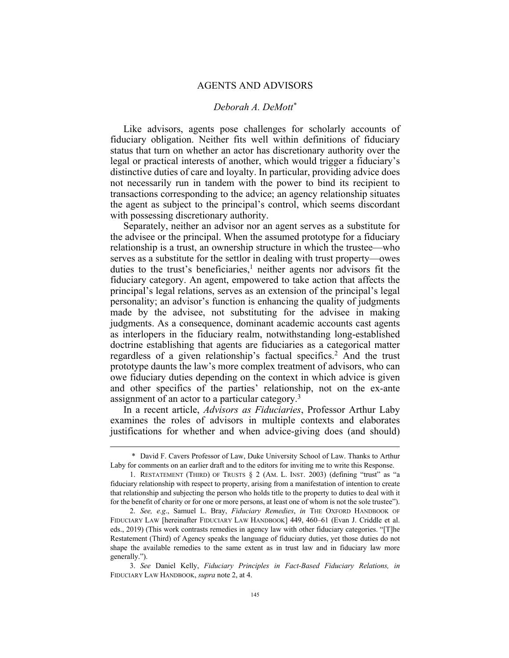## AGENTS AND ADVISORS

## *Deborah A. DeMott\**

Like advisors, agents pose challenges for scholarly accounts of fiduciary obligation. Neither fits well within definitions of fiduciary status that turn on whether an actor has discretionary authority over the legal or practical interests of another, which would trigger a fiduciary's distinctive duties of care and loyalty. In particular, providing advice does not necessarily run in tandem with the power to bind its recipient to transactions corresponding to the advice; an agency relationship situates the agent as subject to the principal's control, which seems discordant with possessing discretionary authority.

Separately, neither an advisor nor an agent serves as a substitute for the advisee or the principal. When the assumed prototype for a fiduciary relationship is a trust, an ownership structure in which the trustee—who serves as a substitute for the settlor in dealing with trust property—owes duties to the trust's beneficiaries,<sup>1</sup> neither agents nor advisors fit the fiduciary category. An agent, empowered to take action that affects the principal's legal relations, serves as an extension of the principal's legal personality; an advisor's function is enhancing the quality of judgments made by the advisee, not substituting for the advisee in making judgments. As a consequence, dominant academic accounts cast agents as interlopers in the fiduciary realm, notwithstanding long-established doctrine establishing that agents are fiduciaries as a categorical matter regardless of a given relationship's factual specifics.<sup>2</sup> And the trust prototype daunts the law's more complex treatment of advisors, who can owe fiduciary duties depending on the context in which advice is given and other specifics of the parties' relationship, not on the ex-ante assignment of an actor to a particular category.<sup>3</sup>

In a recent article, *Advisors as Fiduciaries*, Professor Arthur Laby examines the roles of advisors in multiple contexts and elaborates justifications for whether and when advice-giving does (and should)

<sup>\*</sup> David F. Cavers Professor of Law, Duke University School of Law. Thanks to Arthur Laby for comments on an earlier draft and to the editors for inviting me to write this Response.

<sup>1.</sup> RESTATEMENT (THIRD) OF TRUSTS § 2 (AM. L. INST. 2003) (defining "trust" as "a fiduciary relationship with respect to property, arising from a manifestation of intention to create that relationship and subjecting the person who holds title to the property to duties to deal with it for the benefit of charity or for one or more persons, at least one of whom is not the sole trustee").

<sup>2.</sup> *See, e.g*., Samuel L. Bray, *Fiduciary Remedies*, *in* THE OXFORD HANDBOOK OF FIDUCIARY LAW [hereinafter FIDUCIARY LAW HANDBOOK] 449, 460–61 (Evan J. Criddle et al. eds., 2019) (This work contrasts remedies in agency law with other fiduciary categories. "[T]he Restatement (Third) of Agency speaks the language of fiduciary duties, yet those duties do not shape the available remedies to the same extent as in trust law and in fiduciary law more generally.").

<sup>3.</sup> *See* Daniel Kelly, *Fiduciary Principles in Fact-Based Fiduciary Relations, in* FIDUCIARY LAW HANDBOOK, *supra* note 2, at 4.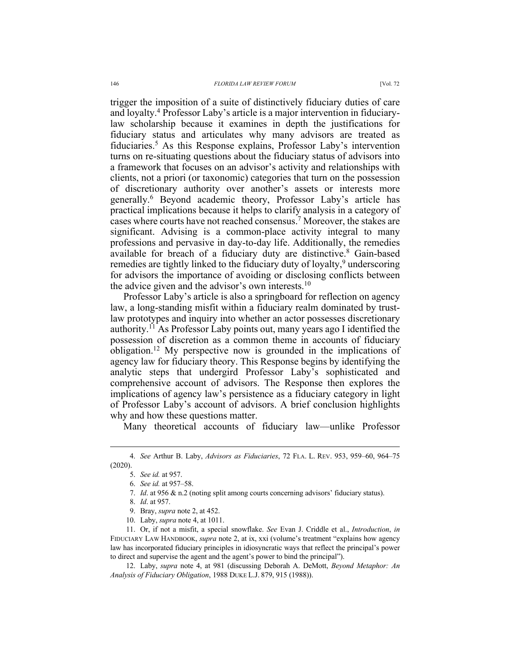trigger the imposition of a suite of distinctively fiduciary duties of care and loyalty.4 Professor Laby's article is a major intervention in fiduciarylaw scholarship because it examines in depth the justifications for fiduciary status and articulates why many advisors are treated as fiduciaries.5 As this Response explains, Professor Laby's intervention turns on re-situating questions about the fiduciary status of advisors into a framework that focuses on an advisor's activity and relationships with clients, not a priori (or taxonomic) categories that turn on the possession of discretionary authority over another's assets or interests more generally.6 Beyond academic theory, Professor Laby's article has practical implications because it helps to clarify analysis in a category of cases where courts have not reached consensus.7 Moreover, the stakes are significant. Advising is a common-place activity integral to many professions and pervasive in day-to-day life. Additionally, the remedies available for breach of a fiduciary duty are distinctive.<sup>8</sup> Gain-based remedies are tightly linked to the fiduciary duty of loyalty,<sup>9</sup> underscoring for advisors the importance of avoiding or disclosing conflicts between the advice given and the advisor's own interests. $10$ 

Professor Laby's article is also a springboard for reflection on agency law, a long-standing misfit within a fiduciary realm dominated by trustlaw prototypes and inquiry into whether an actor possesses discretionary authority.11 As Professor Laby points out, many years ago I identified the possession of discretion as a common theme in accounts of fiduciary obligation.<sup>12</sup> My perspective now is grounded in the implications of agency law for fiduciary theory. This Response begins by identifying the analytic steps that undergird Professor Laby's sophisticated and comprehensive account of advisors. The Response then explores the implications of agency law's persistence as a fiduciary category in light of Professor Laby's account of advisors. A brief conclusion highlights why and how these questions matter.

Many theoretical accounts of fiduciary law—unlike Professor

10. Laby, *supra* note 4, at 1011.

12. Laby, *supra* note 4, at 981 (discussing Deborah A. DeMott, *Beyond Metaphor: An Analysis of Fiduciary Obligation*, 1988 DUKE L.J. 879, 915 (1988)).

<sup>4.</sup> *See* Arthur B. Laby, *Advisors as Fiduciaries*, 72 FLA. L. REV. 953, 959–60, 964–75 (2020).

<sup>5.</sup> *See id.* at 957.

<sup>6.</sup> *See id.* at 957–58.

<sup>7.</sup> *Id*. at 956 & n.2 (noting split among courts concerning advisors' fiduciary status).

<sup>8.</sup> *Id*. at 957.

<sup>9.</sup> Bray, *supra* note 2, at 452.

<sup>11.</sup> Or, if not a misfit, a special snowflake. *See* Evan J. Criddle et al., *Introduction*, *in*  FIDUCIARY LAW HANDBOOK, *supra* note 2, at ix, xxi (volume's treatment "explains how agency law has incorporated fiduciary principles in idiosyncratic ways that reflect the principal's power to direct and supervise the agent and the agent's power to bind the principal").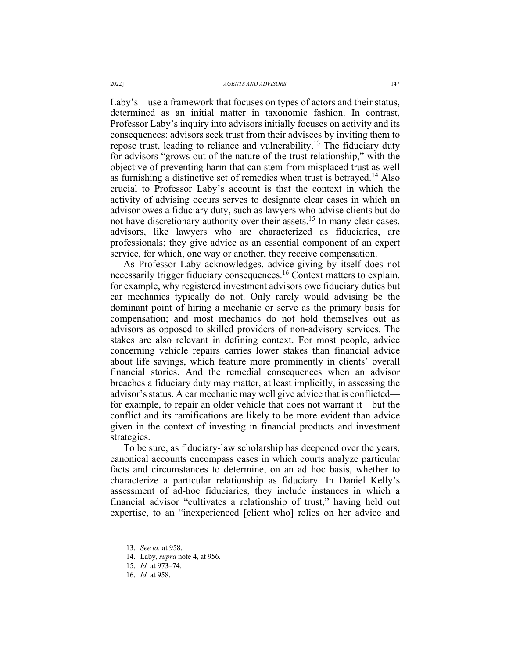Laby's—use a framework that focuses on types of actors and their status, determined as an initial matter in taxonomic fashion. In contrast, Professor Laby's inquiry into advisors initially focuses on activity and its consequences: advisors seek trust from their advisees by inviting them to repose trust, leading to reliance and vulnerability.<sup>13</sup> The fiduciary duty for advisors "grows out of the nature of the trust relationship," with the objective of preventing harm that can stem from misplaced trust as well as furnishing a distinctive set of remedies when trust is betrayed.<sup>14</sup> Also crucial to Professor Laby's account is that the context in which the activity of advising occurs serves to designate clear cases in which an advisor owes a fiduciary duty, such as lawyers who advise clients but do not have discretionary authority over their assets.<sup>15</sup> In many clear cases, advisors, like lawyers who are characterized as fiduciaries, are professionals; they give advice as an essential component of an expert service, for which, one way or another, they receive compensation.

As Professor Laby acknowledges, advice-giving by itself does not necessarily trigger fiduciary consequences.16 Context matters to explain, for example, why registered investment advisors owe fiduciary duties but car mechanics typically do not. Only rarely would advising be the dominant point of hiring a mechanic or serve as the primary basis for compensation; and most mechanics do not hold themselves out as advisors as opposed to skilled providers of non-advisory services. The stakes are also relevant in defining context. For most people, advice concerning vehicle repairs carries lower stakes than financial advice about life savings, which feature more prominently in clients' overall financial stories. And the remedial consequences when an advisor breaches a fiduciary duty may matter, at least implicitly, in assessing the advisor's status. A car mechanic may well give advice that is conflicted for example, to repair an older vehicle that does not warrant it—but the conflict and its ramifications are likely to be more evident than advice given in the context of investing in financial products and investment strategies.

To be sure, as fiduciary-law scholarship has deepened over the years, canonical accounts encompass cases in which courts analyze particular facts and circumstances to determine, on an ad hoc basis, whether to characterize a particular relationship as fiduciary. In Daniel Kelly's assessment of ad-hoc fiduciaries, they include instances in which a financial advisor "cultivates a relationship of trust," having held out expertise, to an "inexperienced [client who] relies on her advice and

<sup>13.</sup> *See id.* at 958.

<sup>14.</sup> Laby, *supra* note 4, at 956.

<sup>15.</sup> *Id.* at 973–74.

<sup>16.</sup> *Id.* at 958.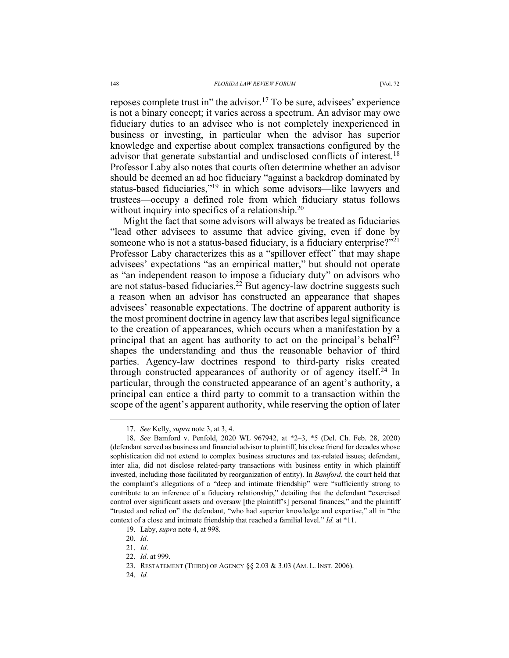reposes complete trust in" the advisor.<sup>17</sup> To be sure, advisees' experience is not a binary concept; it varies across a spectrum. An advisor may owe fiduciary duties to an advisee who is not completely inexperienced in business or investing, in particular when the advisor has superior knowledge and expertise about complex transactions configured by the advisor that generate substantial and undisclosed conflicts of interest.<sup>18</sup> Professor Laby also notes that courts often determine whether an advisor should be deemed an ad hoc fiduciary "against a backdrop dominated by status-based fiduciaries,"19 in which some advisors—like lawyers and trustees—occupy a defined role from which fiduciary status follows without inquiry into specifics of a relationship.<sup>20</sup>

Might the fact that some advisors will always be treated as fiduciaries "lead other advisees to assume that advice giving, even if done by someone who is not a status-based fiduciary, is a fiduciary enterprise? $1^{21}$ Professor Laby characterizes this as a "spillover effect" that may shape advisees' expectations "as an empirical matter," but should not operate as "an independent reason to impose a fiduciary duty" on advisors who are not status-based fiduciaries.<sup>22</sup> But agency-law doctrine suggests such a reason when an advisor has constructed an appearance that shapes advisees' reasonable expectations. The doctrine of apparent authority is the most prominent doctrine in agency law that ascribes legal significance to the creation of appearances, which occurs when a manifestation by a principal that an agent has authority to act on the principal's behalf<sup>23</sup> shapes the understanding and thus the reasonable behavior of third parties. Agency-law doctrines respond to third-party risks created through constructed appearances of authority or of agency itself.<sup>24</sup> In particular, through the constructed appearance of an agent's authority, a principal can entice a third party to commit to a transaction within the scope of the agent's apparent authority, while reserving the option of later

<sup>17.</sup> *See* Kelly, *supra* note 3, at 3, 4.

<sup>18.</sup> *See* Bamford v. Penfold, 2020 WL 967942, at \*2–3, \*5 (Del. Ch. Feb. 28, 2020) (defendant served as business and financial advisor to plaintiff, his close friend for decades whose sophistication did not extend to complex business structures and tax-related issues; defendant, inter alia, did not disclose related-party transactions with business entity in which plaintiff invested, including those facilitated by reorganization of entity). In *Bamford*, the court held that the complaint's allegations of a "deep and intimate friendship" were "sufficiently strong to contribute to an inference of a fiduciary relationship," detailing that the defendant "exercised control over significant assets and oversaw [the plaintiff's] personal finances," and the plaintiff "trusted and relied on" the defendant, "who had superior knowledge and expertise," all in "the context of a close and intimate friendship that reached a familial level." *Id.* at \*11.

<sup>19.</sup> Laby, *supra* note 4, at 998.

<sup>20.</sup> *Id*.

<sup>21.</sup> *Id*.

<sup>22.</sup> *Id*. at 999.

<sup>23.</sup> RESTATEMENT (THIRD) OF AGENCY §§ 2.03 & 3.03 (AM. L. INST. 2006).

<sup>24.</sup> *Id.*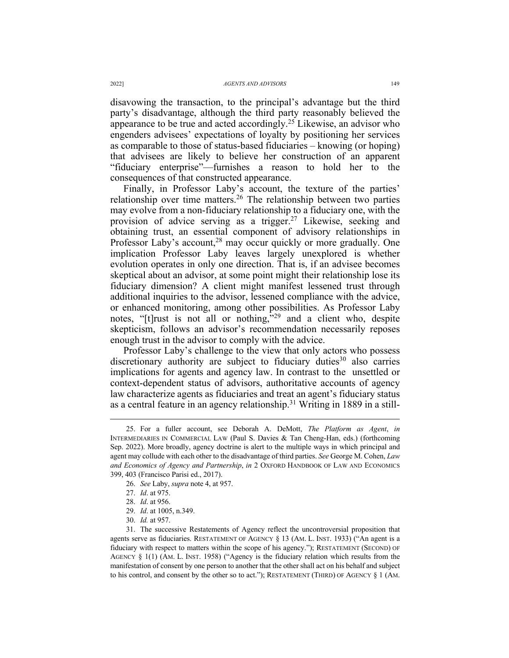disavowing the transaction, to the principal's advantage but the third party's disadvantage, although the third party reasonably believed the appearance to be true and acted accordingly.<sup>25</sup> Likewise, an advisor who engenders advisees' expectations of loyalty by positioning her services as comparable to those of status-based fiduciaries – knowing (or hoping) that advisees are likely to believe her construction of an apparent "fiduciary enterprise"—furnishes a reason to hold her to the consequences of that constructed appearance.

Finally, in Professor Laby's account, the texture of the parties' relationship over time matters.<sup>26</sup> The relationship between two parties may evolve from a non-fiduciary relationship to a fiduciary one, with the provision of advice serving as a trigger.<sup>27</sup> Likewise, seeking and obtaining trust, an essential component of advisory relationships in Professor Laby's account,<sup>28</sup> may occur quickly or more gradually. One implication Professor Laby leaves largely unexplored is whether evolution operates in only one direction. That is, if an advisee becomes skeptical about an advisor, at some point might their relationship lose its fiduciary dimension? A client might manifest lessened trust through additional inquiries to the advisor, lessened compliance with the advice, or enhanced monitoring, among other possibilities. As Professor Laby notes, "[t]rust is not all or nothing,"<sup>29</sup> and a client who, despite skepticism, follows an advisor's recommendation necessarily reposes enough trust in the advisor to comply with the advice.

Professor Laby's challenge to the view that only actors who possess discretionary authority are subject to fiduciary duties<sup>30</sup> also carries implications for agents and agency law. In contrast to the unsettled or context-dependent status of advisors, authoritative accounts of agency law characterize agents as fiduciaries and treat an agent's fiduciary status as a central feature in an agency relationship.<sup>31</sup> Writing in 1889 in a still-

<sup>25.</sup> For a fuller account, see Deborah A. DeMott, *The Platform as Agent*, *in* INTERMEDIARIES IN COMMERCIAL LAW (Paul S. Davies & Tan Cheng-Han, eds.) (forthcoming Sep. 2022). More broadly, agency doctrine is alert to the multiple ways in which principal and agent may collude with each other to the disadvantage of third parties. *See* George M. Cohen, *Law and Economics of Agency and Partnership*, *in* 2 OXFORD HANDBOOK OF LAW AND ECONOMICS 399, 403 (Francisco Parisi ed., 2017).

<sup>26.</sup> *See* Laby, *supra* note 4, at 957.

<sup>27.</sup> *Id*. at 975.

<sup>28.</sup> *Id*. at 956.

<sup>29.</sup> *Id*. at 1005, n.349.

<sup>30.</sup> *Id.* at 957.

<sup>31.</sup> The successive Restatements of Agency reflect the uncontroversial proposition that agents serve as fiduciaries. RESTATEMENT OF AGENCY § 13 (AM. L. INST. 1933) ("An agent is a fiduciary with respect to matters within the scope of his agency."); RESTATEMENT (SECOND) OF AGENCY  $\S$  1(1) (AM. L. INST. 1958) ("Agency is the fiduciary relation which results from the manifestation of consent by one person to another that the other shall act on his behalf and subject to his control, and consent by the other so to act."); RESTATEMENT (THIRD) OF AGENCY § 1 (AM.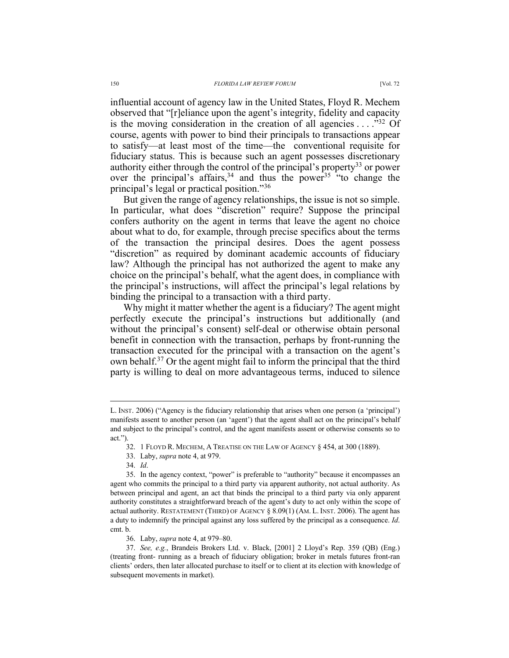influential account of agency law in the United States, Floyd R. Mechem observed that "[r]eliance upon the agent's integrity, fidelity and capacity is the moving consideration in the creation of all agencies  $\dots$ ."<sup>32</sup> Of course, agents with power to bind their principals to transactions appear to satisfy—at least most of the time—the conventional requisite for fiduciary status. This is because such an agent possesses discretionary authority either through the control of the principal's property<sup>33</sup> or power over the principal's affairs,<sup>34</sup> and thus the power<sup>35</sup> "to change the principal's legal or practical position."36

But given the range of agency relationships, the issue is not so simple. In particular, what does "discretion" require? Suppose the principal confers authority on the agent in terms that leave the agent no choice about what to do, for example, through precise specifics about the terms of the transaction the principal desires. Does the agent possess "discretion" as required by dominant academic accounts of fiduciary law? Although the principal has not authorized the agent to make any choice on the principal's behalf, what the agent does, in compliance with the principal's instructions, will affect the principal's legal relations by binding the principal to a transaction with a third party.

Why might it matter whether the agent is a fiduciary? The agent might perfectly execute the principal's instructions but additionally (and without the principal's consent) self-deal or otherwise obtain personal benefit in connection with the transaction, perhaps by front-running the transaction executed for the principal with a transaction on the agent's own behalf.<sup>37</sup> Or the agent might fail to inform the principal that the third party is willing to deal on more advantageous terms, induced to silence

L. INST. 2006) ("Agency is the fiduciary relationship that arises when one person (a 'principal') manifests assent to another person (an 'agent') that the agent shall act on the principal's behalf and subject to the principal's control, and the agent manifests assent or otherwise consents so to act.").

<sup>32.</sup> 1 FLOYD R. MECHEM, A TREATISE ON THE LAW OF AGENCY § 454, at 300 (1889).

<sup>33.</sup> Laby, *supra* note 4, at 979.

<sup>34.</sup> *Id*.

<sup>35.</sup> In the agency context, "power" is preferable to "authority" because it encompasses an agent who commits the principal to a third party via apparent authority, not actual authority. As between principal and agent, an act that binds the principal to a third party via only apparent authority constitutes a straightforward breach of the agent's duty to act only within the scope of actual authority. RESTATEMENT (THIRD) OF AGENCY § 8.09(1) (AM. L. INST. 2006). The agent has a duty to indemnify the principal against any loss suffered by the principal as a consequence. *Id*. cmt. b.

<sup>36.</sup> Laby, *supra* note 4, at 979–80.

<sup>37.</sup> *See, e.g.*, Brandeis Brokers Ltd. v. Black, [2001] 2 Lloyd's Rep. 359 (QB) (Eng.) (treating front- running as a breach of fiduciary obligation; broker in metals futures front-ran clients' orders, then later allocated purchase to itself or to client at its election with knowledge of subsequent movements in market).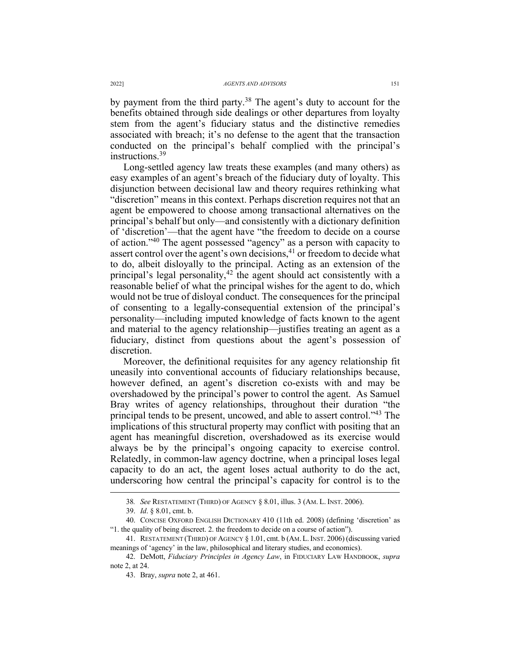by payment from the third party.<sup>38</sup> The agent's duty to account for the benefits obtained through side dealings or other departures from loyalty stem from the agent's fiduciary status and the distinctive remedies associated with breach; it's no defense to the agent that the transaction conducted on the principal's behalf complied with the principal's instructions.<sup>39</sup>

Long-settled agency law treats these examples (and many others) as easy examples of an agent's breach of the fiduciary duty of loyalty. This disjunction between decisional law and theory requires rethinking what "discretion" means in this context. Perhaps discretion requires not that an agent be empowered to choose among transactional alternatives on the principal's behalf but only—and consistently with a dictionary definition of 'discretion'—that the agent have "the freedom to decide on a course of action."40 The agent possessed "agency" as a person with capacity to assert control over the agent's own decisions, $41$  or freedom to decide what to do, albeit disloyally to the principal. Acting as an extension of the principal's legal personality, $42$  the agent should act consistently with a reasonable belief of what the principal wishes for the agent to do, which would not be true of disloyal conduct. The consequences for the principal of consenting to a legally-consequential extension of the principal's personality—including imputed knowledge of facts known to the agent and material to the agency relationship—justifies treating an agent as a fiduciary, distinct from questions about the agent's possession of discretion.

Moreover, the definitional requisites for any agency relationship fit uneasily into conventional accounts of fiduciary relationships because, however defined, an agent's discretion co-exists with and may be overshadowed by the principal's power to control the agent. As Samuel Bray writes of agency relationships, throughout their duration "the principal tends to be present, uncowed, and able to assert control."<sup>43</sup> The implications of this structural property may conflict with positing that an agent has meaningful discretion, overshadowed as its exercise would always be by the principal's ongoing capacity to exercise control. Relatedly, in common-law agency doctrine, when a principal loses legal capacity to do an act, the agent loses actual authority to do the act, underscoring how central the principal's capacity for control is to the

<sup>38</sup>*. See* RESTATEMENT (THIRD) OF AGENCY § 8.01, illus. 3 (AM. L. INST. 2006).

<sup>39.</sup> *Id*. § 8.01, cmt. b.

<sup>40.</sup> CONCISE OXFORD ENGLISH DICTIONARY 410 (11th ed. 2008) (defining 'discretion' as "1. the quality of being discreet. 2. the freedom to decide on a course of action").

<sup>41.</sup> RESTATEMENT (THIRD) OF AGENCY § 1.01, cmt. b (AM.L.INST. 2006) (discussing varied meanings of 'agency' in the law, philosophical and literary studies, and economics).

<sup>42.</sup> DeMott, *Fiduciary Principles in Agency Law*, in FIDUCIARY LAW HANDBOOK, *supra*  note 2, at 24.

<sup>43.</sup> Bray, *supra* note 2, at 461.